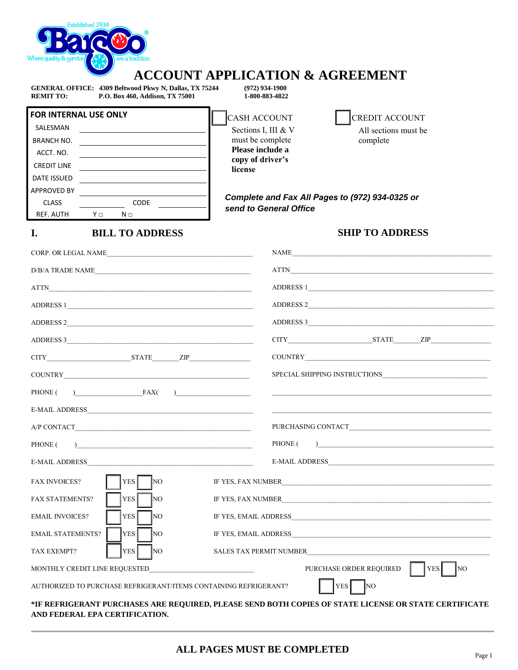

## **ACCOUNT APPLICATION & AGREEMENT**

**GENERAL OFFICE: 4309 Beltwood Pkwy N, Dallas, TX 75244** (972) 934-1900<br> **REMIT TO:** P.O. Box 460, Addison, TX 75001 1-800-883-4822 **REMIT TO:** P.O. Box 460, Addison, TX 75001

| <b>FOR INTERNAL USE ONLY</b> |    |      |  |
|------------------------------|----|------|--|
| SALESMAN                     |    |      |  |
| <b>BRANCH NO.</b>            |    |      |  |
| ACCT. NO.                    |    |      |  |
| <b>CREDIT LINE</b>           |    |      |  |
| <b>DATE ISSUED</b>           |    |      |  |
| <b>APPROVED BY</b>           |    |      |  |
| <b>CLASS</b>                 |    | CODE |  |
| <b>REF. AUTH</b>             | Vп | Nп   |  |

**I. BILL TO ADDRESS**

CASH ACCOUNT Sections I, III & V must be complete **Please include a copy of driver's license**



*Complete and Fax All Pages to (972) 934-0325 or send to General Office*

### **SHIP TO ADDRESS**

| CORP. OR LEGAL NAME                                                                                                                                                                                                                                                                                                                                                                                                                                          | NAME                                                                                                                                                                                                                           |
|--------------------------------------------------------------------------------------------------------------------------------------------------------------------------------------------------------------------------------------------------------------------------------------------------------------------------------------------------------------------------------------------------------------------------------------------------------------|--------------------------------------------------------------------------------------------------------------------------------------------------------------------------------------------------------------------------------|
| $\text{D/B/A TRADE NAME}\underline{\hspace{2cm}}$                                                                                                                                                                                                                                                                                                                                                                                                            |                                                                                                                                                                                                                                |
| <b>ATTN</b>                                                                                                                                                                                                                                                                                                                                                                                                                                                  | ADDRESS 1                                                                                                                                                                                                                      |
| ADDRESS 1                                                                                                                                                                                                                                                                                                                                                                                                                                                    | ADDRESS 2                                                                                                                                                                                                                      |
| ADDRESS 2                                                                                                                                                                                                                                                                                                                                                                                                                                                    | ADDRESS 3                                                                                                                                                                                                                      |
| ADDRESS 3                                                                                                                                                                                                                                                                                                                                                                                                                                                    |                                                                                                                                                                                                                                |
|                                                                                                                                                                                                                                                                                                                                                                                                                                                              |                                                                                                                                                                                                                                |
|                                                                                                                                                                                                                                                                                                                                                                                                                                                              |                                                                                                                                                                                                                                |
| $\overline{FAX(}$<br>$\begin{array}{cccccccccccccc} \multicolumn{2}{c }{\textbf{1} & \textbf{2} & \textbf{3} & \textbf{4} & \textbf{5} & \textbf{5} & \textbf{6} & \textbf{7} & \textbf{8} & \textbf{8} & \textbf{9} & \textbf{10} & \textbf{10} & \textbf{10} & \textbf{10} & \textbf{10} & \textbf{10} & \textbf{10} & \textbf{10} & \textbf{10} & \textbf{10} & \textbf{10} & \textbf{10} & \textbf{10} & \textbf{10} & \textbf{10} & \textbf$<br>PHONE ( |                                                                                                                                                                                                                                |
|                                                                                                                                                                                                                                                                                                                                                                                                                                                              |                                                                                                                                                                                                                                |
|                                                                                                                                                                                                                                                                                                                                                                                                                                                              |                                                                                                                                                                                                                                |
| PHONE (<br>$\overline{a}$ and $\overline{a}$ and $\overline{a}$ and $\overline{a}$ and $\overline{a}$ and $\overline{a}$ and $\overline{a}$ and $\overline{a}$ and $\overline{a}$ and $\overline{a}$ and $\overline{a}$ and $\overline{a}$ and $\overline{a}$ and $\overline{a}$ and $\overline{a}$ and $\overline{a}$ and $\overline{a}$ and                                                                                                                | PHONE (<br>$\begin{array}{c} \hline \end{array}$                                                                                                                                                                               |
|                                                                                                                                                                                                                                                                                                                                                                                                                                                              |                                                                                                                                                                                                                                |
| <b>FAX INVOICES?</b><br><b>YES</b><br><b>NO</b>                                                                                                                                                                                                                                                                                                                                                                                                              | IF YES, FAX NUMBER                                                                                                                                                                                                             |
| <b>YES</b><br>INO.<br><b>FAX STATEMENTS?</b>                                                                                                                                                                                                                                                                                                                                                                                                                 | IF YES, FAX NUMBER SERVICES AND THE SERVICES OF STRAIGHT AND THE SERVICES OF STRAIGHT AND THE SERVICES OF STRAIGHT AND THE SERVICES OF STRAIGHT AND THE SERVICES OF STRAIGHT AND THE STRAIGHT AND THE STRAIGHT AND THE STRAIGH |
| YES <sup>1</sup><br>NO.<br><b>EMAIL INVOICES?</b>                                                                                                                                                                                                                                                                                                                                                                                                            |                                                                                                                                                                                                                                |
| YES <sup>[</sup><br><b>EMAIL STATEMENTS?</b><br>INO.                                                                                                                                                                                                                                                                                                                                                                                                         |                                                                                                                                                                                                                                |
| <b>YES</b><br><b>NO</b><br>TAX EXEMPT?                                                                                                                                                                                                                                                                                                                                                                                                                       |                                                                                                                                                                                                                                |
| MONTHLY CREDIT LINE REQUESTED<br>the control of the control of the control of the control of the control of                                                                                                                                                                                                                                                                                                                                                  | PURCHASE ORDER REQUIRED<br> YES <br>N <sub>O</sub>                                                                                                                                                                             |
| AUTHORIZED TO PURCHASE REFRIGERANT/ITEMS CONTAINING REFRIGERANT?                                                                                                                                                                                                                                                                                                                                                                                             | YES <sup>[</sup><br>$\overline{NQ}$                                                                                                                                                                                            |
|                                                                                                                                                                                                                                                                                                                                                                                                                                                              | FIF REFRIGERANT PURCHASES ARE REQUIRED, PLEASE SEND BOTH COPIES OF STATE LICENSE OR STATE CERTIFICATE *                                                                                                                        |

#### **\*IF REFRIGERANT PURCHASES ARE REQUIRED, PLEASE SEND BOTH COPIES OF STATE LICENSE OR STATE CERTIFICATE AND FEDERAL EPA CERTIFICATION.**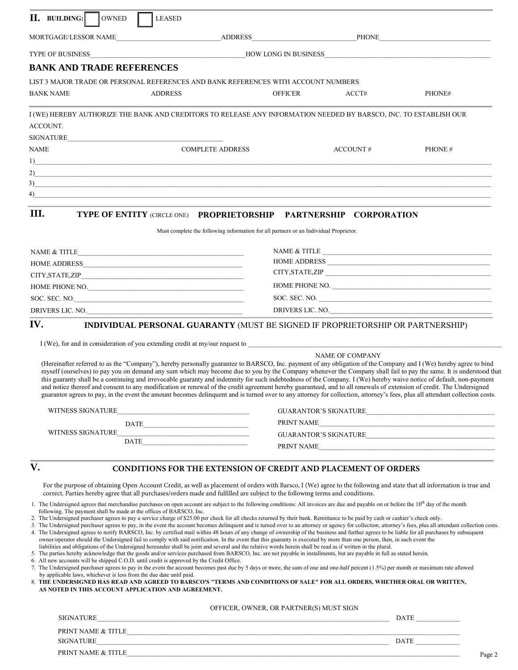| <b>II.</b> BUILDING: OWNED       | LEASED                                                                                                                                                                                                                                                                                                                                                                                                                     |                                                                                                                                                                                                                                                                                                                                                                                                                                                                                                                                                                                                                                                                                                                                                                                                                                                                                                                                                                                                                                                                                                                                                                                                                                                                                                                                                                                                                                                                                                                                                                                                                                    |                        |                                                                                                                                                                                                                                                                                                                                                                                                                                                                                                                                                                                                                                                                                                                                                                                                                                                                      |
|----------------------------------|----------------------------------------------------------------------------------------------------------------------------------------------------------------------------------------------------------------------------------------------------------------------------------------------------------------------------------------------------------------------------------------------------------------------------|------------------------------------------------------------------------------------------------------------------------------------------------------------------------------------------------------------------------------------------------------------------------------------------------------------------------------------------------------------------------------------------------------------------------------------------------------------------------------------------------------------------------------------------------------------------------------------------------------------------------------------------------------------------------------------------------------------------------------------------------------------------------------------------------------------------------------------------------------------------------------------------------------------------------------------------------------------------------------------------------------------------------------------------------------------------------------------------------------------------------------------------------------------------------------------------------------------------------------------------------------------------------------------------------------------------------------------------------------------------------------------------------------------------------------------------------------------------------------------------------------------------------------------------------------------------------------------------------------------------------------------|------------------------|----------------------------------------------------------------------------------------------------------------------------------------------------------------------------------------------------------------------------------------------------------------------------------------------------------------------------------------------------------------------------------------------------------------------------------------------------------------------------------------------------------------------------------------------------------------------------------------------------------------------------------------------------------------------------------------------------------------------------------------------------------------------------------------------------------------------------------------------------------------------|
|                                  |                                                                                                                                                                                                                                                                                                                                                                                                                            |                                                                                                                                                                                                                                                                                                                                                                                                                                                                                                                                                                                                                                                                                                                                                                                                                                                                                                                                                                                                                                                                                                                                                                                                                                                                                                                                                                                                                                                                                                                                                                                                                                    |                        |                                                                                                                                                                                                                                                                                                                                                                                                                                                                                                                                                                                                                                                                                                                                                                                                                                                                      |
|                                  |                                                                                                                                                                                                                                                                                                                                                                                                                            |                                                                                                                                                                                                                                                                                                                                                                                                                                                                                                                                                                                                                                                                                                                                                                                                                                                                                                                                                                                                                                                                                                                                                                                                                                                                                                                                                                                                                                                                                                                                                                                                                                    |                        |                                                                                                                                                                                                                                                                                                                                                                                                                                                                                                                                                                                                                                                                                                                                                                                                                                                                      |
| <b>BANK AND TRADE REFERENCES</b> |                                                                                                                                                                                                                                                                                                                                                                                                                            |                                                                                                                                                                                                                                                                                                                                                                                                                                                                                                                                                                                                                                                                                                                                                                                                                                                                                                                                                                                                                                                                                                                                                                                                                                                                                                                                                                                                                                                                                                                                                                                                                                    |                        |                                                                                                                                                                                                                                                                                                                                                                                                                                                                                                                                                                                                                                                                                                                                                                                                                                                                      |
|                                  |                                                                                                                                                                                                                                                                                                                                                                                                                            | LIST 3 MAJOR TRADE OR PERSONAL REFERENCES AND BANK REFERENCES WITH ACCOUNT NUMBERS                                                                                                                                                                                                                                                                                                                                                                                                                                                                                                                                                                                                                                                                                                                                                                                                                                                                                                                                                                                                                                                                                                                                                                                                                                                                                                                                                                                                                                                                                                                                                 |                        |                                                                                                                                                                                                                                                                                                                                                                                                                                                                                                                                                                                                                                                                                                                                                                                                                                                                      |
| <b>BANK NAME</b>                 | <b>ADDRESS</b>                                                                                                                                                                                                                                                                                                                                                                                                             | <b>OFFICER</b>                                                                                                                                                                                                                                                                                                                                                                                                                                                                                                                                                                                                                                                                                                                                                                                                                                                                                                                                                                                                                                                                                                                                                                                                                                                                                                                                                                                                                                                                                                                                                                                                                     | ACCT#                  | PHONE#                                                                                                                                                                                                                                                                                                                                                                                                                                                                                                                                                                                                                                                                                                                                                                                                                                                               |
| ACCOUNT.                         |                                                                                                                                                                                                                                                                                                                                                                                                                            | I (WE) HEREBY AUTHORIZE THE BANK AND CREDITORS TO RELEASE ANY INFORMATION NEEDED BY BARSCO, INC. TO ESTABLISH OUR                                                                                                                                                                                                                                                                                                                                                                                                                                                                                                                                                                                                                                                                                                                                                                                                                                                                                                                                                                                                                                                                                                                                                                                                                                                                                                                                                                                                                                                                                                                  |                        |                                                                                                                                                                                                                                                                                                                                                                                                                                                                                                                                                                                                                                                                                                                                                                                                                                                                      |
|                                  |                                                                                                                                                                                                                                                                                                                                                                                                                            |                                                                                                                                                                                                                                                                                                                                                                                                                                                                                                                                                                                                                                                                                                                                                                                                                                                                                                                                                                                                                                                                                                                                                                                                                                                                                                                                                                                                                                                                                                                                                                                                                                    |                        |                                                                                                                                                                                                                                                                                                                                                                                                                                                                                                                                                                                                                                                                                                                                                                                                                                                                      |
| NAME                             | <b>COMPLETE ADDRESS</b>                                                                                                                                                                                                                                                                                                                                                                                                    |                                                                                                                                                                                                                                                                                                                                                                                                                                                                                                                                                                                                                                                                                                                                                                                                                                                                                                                                                                                                                                                                                                                                                                                                                                                                                                                                                                                                                                                                                                                                                                                                                                    | ACCOUNT#               | PHONE#                                                                                                                                                                                                                                                                                                                                                                                                                                                                                                                                                                                                                                                                                                                                                                                                                                                               |
|                                  |                                                                                                                                                                                                                                                                                                                                                                                                                            | $\frac{1}{2}$                                                                                                                                                                                                                                                                                                                                                                                                                                                                                                                                                                                                                                                                                                                                                                                                                                                                                                                                                                                                                                                                                                                                                                                                                                                                                                                                                                                                                                                                                                                                                                                                                      |                        |                                                                                                                                                                                                                                                                                                                                                                                                                                                                                                                                                                                                                                                                                                                                                                                                                                                                      |
|                                  |                                                                                                                                                                                                                                                                                                                                                                                                                            | 2)                                                                                                                                                                                                                                                                                                                                                                                                                                                                                                                                                                                                                                                                                                                                                                                                                                                                                                                                                                                                                                                                                                                                                                                                                                                                                                                                                                                                                                                                                                                                                                                                                                 |                        |                                                                                                                                                                                                                                                                                                                                                                                                                                                                                                                                                                                                                                                                                                                                                                                                                                                                      |
|                                  |                                                                                                                                                                                                                                                                                                                                                                                                                            | $\sim$ 3) and the set of the set of the set of the set of the set of the set of the set of the set of the set of the set of the set of the set of the set of the set of the set of the set of the set of the set of the set of<br>$4)$ and $4)$ and $4)$ and $4)$ and $4)$ and $4)$ and $4)$ and $4)$ and $4)$ and $4)$ and $4)$ and $4)$ and $4)$ and $4)$ and $4)$ and $4)$ and $4)$ and $4)$ and $4)$ and $4)$ and $4)$ and $4)$ and $4)$ and $4)$ and $4)$                                                                                                                                                                                                                                                                                                                                                                                                                                                                                                                                                                                                                                                                                                                                                                                                                                                                                                                                                                                                                                                                                                                                                                     |                        |                                                                                                                                                                                                                                                                                                                                                                                                                                                                                                                                                                                                                                                                                                                                                                                                                                                                      |
|                                  |                                                                                                                                                                                                                                                                                                                                                                                                                            |                                                                                                                                                                                                                                                                                                                                                                                                                                                                                                                                                                                                                                                                                                                                                                                                                                                                                                                                                                                                                                                                                                                                                                                                                                                                                                                                                                                                                                                                                                                                                                                                                                    |                        |                                                                                                                                                                                                                                                                                                                                                                                                                                                                                                                                                                                                                                                                                                                                                                                                                                                                      |
| Ш.                               |                                                                                                                                                                                                                                                                                                                                                                                                                            | TYPE OF ENTITY (CIRCLE ONE) PROPRIETORSHIP PARTNERSHIP CORPORATION<br>Must complete the following information for all partners or an Individual Proprietor.                                                                                                                                                                                                                                                                                                                                                                                                                                                                                                                                                                                                                                                                                                                                                                                                                                                                                                                                                                                                                                                                                                                                                                                                                                                                                                                                                                                                                                                                        |                        |                                                                                                                                                                                                                                                                                                                                                                                                                                                                                                                                                                                                                                                                                                                                                                                                                                                                      |
|                                  | $\label{eq:1} \text{NAME} \ \& \ \text{TIME} \_\text{2} \_\text{3} \_\text{3} \_\text{5} \_\text{6} \_\text{7} \_\text{8} \_\text{9} \_\text{1} \_\text{1} \_\text{1} \_\text{1} \_\text{2} \_\text{3} \_\text{1} \_\text{1} \_\text{2} \_\text{3} \_\text{1} \_\text{1} \_\text{2} \_\text{3} \_\text{1} \_\text{1} \_\text{2} \_\text{3} \_\text{4} \_\text{5} \_\text{6} \_\text{7} \_\text{8} \_\text{9} \_\text{1} \$ |                                                                                                                                                                                                                                                                                                                                                                                                                                                                                                                                                                                                                                                                                                                                                                                                                                                                                                                                                                                                                                                                                                                                                                                                                                                                                                                                                                                                                                                                                                                                                                                                                                    |                        |                                                                                                                                                                                                                                                                                                                                                                                                                                                                                                                                                                                                                                                                                                                                                                                                                                                                      |
|                                  |                                                                                                                                                                                                                                                                                                                                                                                                                            |                                                                                                                                                                                                                                                                                                                                                                                                                                                                                                                                                                                                                                                                                                                                                                                                                                                                                                                                                                                                                                                                                                                                                                                                                                                                                                                                                                                                                                                                                                                                                                                                                                    |                        |                                                                                                                                                                                                                                                                                                                                                                                                                                                                                                                                                                                                                                                                                                                                                                                                                                                                      |
|                                  |                                                                                                                                                                                                                                                                                                                                                                                                                            |                                                                                                                                                                                                                                                                                                                                                                                                                                                                                                                                                                                                                                                                                                                                                                                                                                                                                                                                                                                                                                                                                                                                                                                                                                                                                                                                                                                                                                                                                                                                                                                                                                    |                        |                                                                                                                                                                                                                                                                                                                                                                                                                                                                                                                                                                                                                                                                                                                                                                                                                                                                      |
|                                  | HOME PHONE NO. $\qquad \qquad$                                                                                                                                                                                                                                                                                                                                                                                             |                                                                                                                                                                                                                                                                                                                                                                                                                                                                                                                                                                                                                                                                                                                                                                                                                                                                                                                                                                                                                                                                                                                                                                                                                                                                                                                                                                                                                                                                                                                                                                                                                                    |                        | HOME PHONE NO. $\overline{\phantom{a}}$                                                                                                                                                                                                                                                                                                                                                                                                                                                                                                                                                                                                                                                                                                                                                                                                                              |
|                                  | SOC. SEC. NO.                                                                                                                                                                                                                                                                                                                                                                                                              |                                                                                                                                                                                                                                                                                                                                                                                                                                                                                                                                                                                                                                                                                                                                                                                                                                                                                                                                                                                                                                                                                                                                                                                                                                                                                                                                                                                                                                                                                                                                                                                                                                    |                        |                                                                                                                                                                                                                                                                                                                                                                                                                                                                                                                                                                                                                                                                                                                                                                                                                                                                      |
|                                  | DRIVERS LIC. NO.                                                                                                                                                                                                                                                                                                                                                                                                           |                                                                                                                                                                                                                                                                                                                                                                                                                                                                                                                                                                                                                                                                                                                                                                                                                                                                                                                                                                                                                                                                                                                                                                                                                                                                                                                                                                                                                                                                                                                                                                                                                                    |                        | DRIVERS LIC. NO.                                                                                                                                                                                                                                                                                                                                                                                                                                                                                                                                                                                                                                                                                                                                                                                                                                                     |
|                                  |                                                                                                                                                                                                                                                                                                                                                                                                                            | I (We), for and in consideration of you extending credit at my/our request to enterprise to the construction of your extending credit at my/our request to enterprise to the construction of you extending credit at my/our re                                                                                                                                                                                                                                                                                                                                                                                                                                                                                                                                                                                                                                                                                                                                                                                                                                                                                                                                                                                                                                                                                                                                                                                                                                                                                                                                                                                                     | <b>NAME OF COMPANY</b> | (Hereinafter referred to as the "Company"), hereby personally guarantee to BARSCO, Inc. payment of any obligation of the Company and I (We) hereby agree to bind<br>myself (ourselves) to pay you on demand any sum which may become due to you by the Company whenever the Company shall fail to pay the same. It is understood that<br>this guaranty shall be a continuing and irrevocable guaranty and indemnity for such indebtedness of the Company. I (We) hereby waive notice of default, non-payment<br>and notice thereof and consent to any modification or renewal of the credit agreement hereby guaranteed, and to all renewals of extension of credit. The Undersigned<br>guarantor agrees to pay, in the event the amount becomes delinquent and is turned over to any attorney for collection, attorney's fees, plus all attendant collection costs. |
| WITNESS SIGNATURE                | <u> 1989 - Jan James Barn, mars and de Brasil, mars and de Brasil, mars and de Brasil, mars and de Brasil, mars a</u>                                                                                                                                                                                                                                                                                                      |                                                                                                                                                                                                                                                                                                                                                                                                                                                                                                                                                                                                                                                                                                                                                                                                                                                                                                                                                                                                                                                                                                                                                                                                                                                                                                                                                                                                                                                                                                                                                                                                                                    |                        | GUARANTOR'S SIGNATURE                                                                                                                                                                                                                                                                                                                                                                                                                                                                                                                                                                                                                                                                                                                                                                                                                                                |
| WITNESS SIGNATURE                | $\begin{tabular}{c} DATE \end{tabular}$                                                                                                                                                                                                                                                                                                                                                                                    |                                                                                                                                                                                                                                                                                                                                                                                                                                                                                                                                                                                                                                                                                                                                                                                                                                                                                                                                                                                                                                                                                                                                                                                                                                                                                                                                                                                                                                                                                                                                                                                                                                    |                        | PRINT NAME                                                                                                                                                                                                                                                                                                                                                                                                                                                                                                                                                                                                                                                                                                                                                                                                                                                           |
|                                  | <u> 1989 - Johann Stein, mars an deus Frankryk (f. 1982)</u><br>DATE                                                                                                                                                                                                                                                                                                                                                       |                                                                                                                                                                                                                                                                                                                                                                                                                                                                                                                                                                                                                                                                                                                                                                                                                                                                                                                                                                                                                                                                                                                                                                                                                                                                                                                                                                                                                                                                                                                                                                                                                                    |                        | GUARANTOR'S SIGNATURE                                                                                                                                                                                                                                                                                                                                                                                                                                                                                                                                                                                                                                                                                                                                                                                                                                                |
|                                  |                                                                                                                                                                                                                                                                                                                                                                                                                            |                                                                                                                                                                                                                                                                                                                                                                                                                                                                                                                                                                                                                                                                                                                                                                                                                                                                                                                                                                                                                                                                                                                                                                                                                                                                                                                                                                                                                                                                                                                                                                                                                                    |                        | PRINT NAME                                                                                                                                                                                                                                                                                                                                                                                                                                                                                                                                                                                                                                                                                                                                                                                                                                                           |
| V.                               | following. The payment shall be made at the offices of BARSCO, Inc.<br>6. All new accounts will be shipped C.O.D. until credit is approved by the Credit Office.<br>by applicable laws, whichever is less from the due date until paid.<br>AS NOTED IN THIS ACCOUNT APPLICATION AND AGREEMENT.                                                                                                                             | <b>CONDITIONS FOR THE EXTENSION OF CREDIT AND PLACEMENT OF ORDERS</b><br>correct. Parties hereby agree that all purchases/orders made and fulfilled are subject to the following terms and conditions.<br>1. The Undersigned agrees that merchandise purchases on open account are subject to the following conditions: All invoices are due and payable on or before the $10th$ day of the month<br>2. The Undersigned purchaser agrees to pay a service charge of \$25.00 per check for all checks returned by their bank. Remittance to be paid by cash or cashier's check only.<br>4. The Undersigned agrees to notify BARSCO, Inc. by certified mail within 48 hours of any change of ownership of the business and further agrees to be liable for all purchases by subsequent<br>owner/operator should the Undersigned fail to comply with said notification. In the event that this guaranty is executed by more than one person, then, in such event the<br>liabilities and obligations of the Undersigned hereunder shall be joint and several and the relative words herein shall be read as if written in the plural.<br>5. The parties hereby acknowledge that the goods and/or services purchased from BARSCO, Inc. are not payable in installments, but are payable in full as stated herein.<br>7. The Undersigned purchaser agrees to pay in the event the account becomes past due by 5 days or more, the sum of one and one-half percent (1.5%) per month or maximum rate allowed<br>8. THE UNDERSIGNED HAS READ AND AGREED TO BARSCO'S "TERMS AND CONDITIONS OF SALE" FOR ALL ORDERS, WHETHER ORAL OR WRITTEN, |                        | For the purpose of obtaining Open Account Credit, as well as placement of orders with Barsco, I (We) agree to the following and state that all information is true and<br>3. The Undersigned purchaser agrees to pay, in the event the account becomes delinquent and is turned over to an attorney or agency for collection, attorney's fees, plus all attendant collection costs.                                                                                                                                                                                                                                                                                                                                                                                                                                                                                  |
|                                  |                                                                                                                                                                                                                                                                                                                                                                                                                            | OFFICER, OWNER, OR PARTNER(S) MUST SIGN                                                                                                                                                                                                                                                                                                                                                                                                                                                                                                                                                                                                                                                                                                                                                                                                                                                                                                                                                                                                                                                                                                                                                                                                                                                                                                                                                                                                                                                                                                                                                                                            |                        |                                                                                                                                                                                                                                                                                                                                                                                                                                                                                                                                                                                                                                                                                                                                                                                                                                                                      |
|                                  |                                                                                                                                                                                                                                                                                                                                                                                                                            | SIGNATURE <b>Example 2018</b> The contract of the contract of the contract of the contract of the contract of the contract of the contract of the contract of the contract of the contract of the contract of the contract of the c                                                                                                                                                                                                                                                                                                                                                                                                                                                                                                                                                                                                                                                                                                                                                                                                                                                                                                                                                                                                                                                                                                                                                                                                                                                                                                                                                                                                |                        | $\overline{\text{DATE}}$                                                                                                                                                                                                                                                                                                                                                                                                                                                                                                                                                                                                                                                                                                                                                                                                                                             |

| PRINT NAME & TITLE |      |
|--------------------|------|
| <b>SIGNATURE</b>   | DATI |
| PRINT NAME & TITLE |      |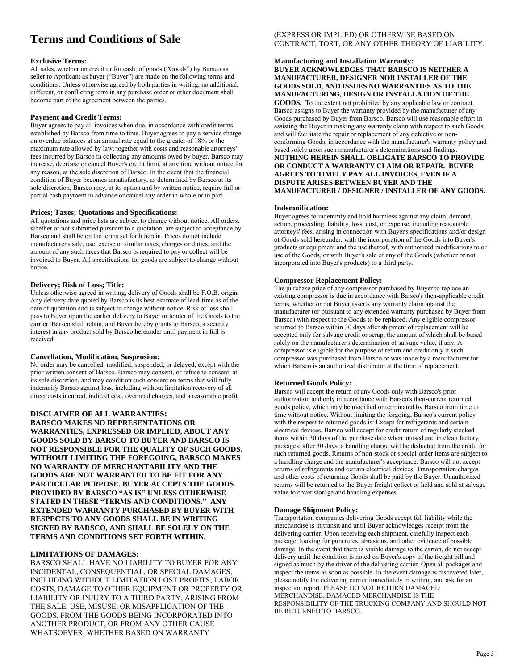## **Terms and Conditions of Sale**

#### **Exclusive Terms:**

All sales, whether on credit or for cash, of goods ("Goods") by Barsco as seller to Applicant as buyer ("Buyer") are made on the following terms and conditions. Unless otherwise agreed by both parties in writing, no additional, different, or conflicting term in any purchase order or other document shall become part of the agreement between the parties.

#### **Payment and Credit Terms:**

Buyer agrees to pay all invoices when due, in accordance with credit terms established by Barsco from time to time. Buyer agrees to pay a service charge on overdue balances at an annual rate equal to the greater of 18% or the maximum rate allowed by law, together with costs and reasonable attorneys' fees incurred by Barsco in collecting any amounts owed by buyer. Barsco may increase, decrease or cancel Buyer's credit limit, at any time without notice for any reason, at the sole discretion of Barsco. In the event that the financial condition of Buyer becomes unsatisfactory, as determined by Barsco at its sole discretion, Barsco may, at its option and by written notice, require full or partial cash payment in advance or cancel any order in whole or in part.

#### **Prices; Taxes; Quotations and Specifications:**

All quotations and price lists are subject to change without notice. All orders, whether or not submitted pursuant to a quotation, are subject to acceptance by Barsco and shall be on the terms set forth herein. Prices do not include manufacturer's sale, use, excise or similar taxes, charges or duties, and the amount of any such taxes that Barsco is required to pay or collect will be invoiced to Buyer. All specifications for goods are subject to change without notice.

#### **Delivery; Risk of Loss; Title:**

Unless otherwise agreed in writing, delivery of Goods shall be F.O.B. origin. Any delivery date quoted by Barsco is its best estimate of lead-time as of the date of quotation and is subject to change without notice. Risk of loss shall pass to Buyer upon the earlier delivery to Buyer or tender of the Goods to the carrier. Barsco shall retain, and Buyer hereby grants to Barsco, a security interest in any product sold by Barsco hereunder until payment in full is received.

#### **Cancellation, Modification, Suspension:**

No order may be cancelled, modified, suspended, or delayed, except with the prior written consent of Barsco. Barsco may consent, or refuse to consent, at its sole discretion, and may condition such consent on terms that will fully indemnify Barsco against loss, including without limitation recovery of all direct costs incurred, indirect cost, overhead charges, and a reasonable profit.

#### **DISCLAIMER OF ALL WARRANTIES:**

**BARSCO MAKES NO REPRESENTATIONS OR WARRANTIES, EXPRESSED OR IMPLIED, ABOUT ANY GOODS SOLD BY BARSCO TO BUYER AND BARSCO IS NOT RESPONSIBLE FOR THE QUALITY OF SUCH GOODS. WITHOUT LIMITING THE FOREGOING, BARSCO MAKES NO WARRANTY OF MERCHANTABILITY AND THE GOODS ARE NOT WARRANTED TO BE FIT FOR ANY PARTICULAR PURPOSE. BUYER ACCEPTS THE GOODS PROVIDED BY BARSCO "AS IS" UNLESS OTHERWISE STATED IN THESE "TERMS AND CONDITIONS." ANY EXTENDED WARRANTY PURCHASED BY BUYER WITH RESPECTS TO ANY GOODS SHALL BE IN WRITING SIGNED BY BARSCO, AND SHALL BE SOLELY ON THE TERMS AND CONDITIONS SET FORTH WITHIN.**

#### **LIMITATIONS OF DAMAGES:**

BARSCO SHALL HAVE NO LIABILITY TO BUYER FOR ANY INCIDENTAL, CONSEQUENTIAL, OR SPECIAL DAMAGES, INCLUDING WITHOUT LIMITATION LOST PROFITS, LABOR COSTS, DAMAGE TO OTHER EQUIPMENT OR PROPERTY OR LIABILITY OR INJURY TO A THIRD PARTY, ARISING FROM THE SALE, USE, MISUSE, OR MISAPPLICATION OF THE GOODS, FROM THE GOODS BEING INCORPORATED INTO ANOTHER PRODUCT, OR FROM ANY OTHER CAUSE WHATSOEVER, WHETHER BASED ON WARRANTY

#### (EXPRESS OR IMPLIED) OR OTHERWISE BASED ON CONTRACT, TORT, OR ANY OTHER THEORY OF LIABILITY.

#### **Manufacturing and Installation Warranty: BUYER ACKNOWLEDGES THAT BARSCO IS NEITHER A MANUFACTURER, DESIGNER NOR INSTALLER OF THE GOODS SOLD, AND ISSUES NO WARRANTIES AS TO THE MANUFACTURING, DESIGN OR INSTALLATION OF THE**

**GOODS.** To the extent not prohibited by any applicable law or contract, Barsco assigns to Buyer the warranty provided by the manufacturer of any Goods purchased by Buyer from Barsco. Barsco will use reasonable effort in assisting the Buyer in making any warranty claim with respect to such Goods and will facilitate the repair or replacement of any defective or nonconforming Goods, in accordance with the manufacturer's warranty policy and based solely upon such manufacturer's determinations and findings. **NOTHING HEREIN SHALL OBLIGATE BARSCO TO PROVIDE OR CONDUCT A WARRANTY CLAIM OR REPAIR. BUYER AGREES TO TIMELY PAY ALL INVOICES, EVEN IF A DISPUTE ARISES BETWEEN BUYER AND THE MANUFACTURER / DESIGNER / INSTALLER OF ANY GOODS.**

#### **Indemnification:**

Buyer agrees to indemnify and hold harmless against any claim, demand, action, proceeding, liability, loss, cost, or expense, including reasonable attorneys' fees, arising in connection with Buyer's specifications and/or design of Goods sold hereunder, with the incorporation of the Goods into Buyer's products or equipment and the use thereof, with authorized modifications to or use of the Goods, or with Buyer's sale of any of the Goods (whether or not incorporated into Buyer's products) to a third party.

#### **Compressor Replacement Policy:**

The purchase price of any compressor purchased by Buyer to replace an existing compressor is due in accordance with Barsco's then-applicable credit terms, whether or not Buyer asserts any warranty claim against the manufacturer (or pursuant to any extended warranty purchased by Buyer from Barsco) with respect to the Goods to be replaced. Any eligible compressor returned to Barsco within 30 days after shipment of replacement will be accepted only for salvage credit or scrap, the amount of which shall be based solely on the manufacturer's determination of salvage value, if any. A compressor is eligible for the purpose of return and credit only if such compressor was purchased from Barsco or was made by a manufacturer for which Barsco is an authorized distributor at the time of replacement.

#### **Returned Goods Policy:**

Barsco will accept the return of any Goods only with Barsco's prior authorization and only in accordance with Barsco's then-current returned goods policy, which may be modified or terminated by Barsco from time to time without notice. Without limiting the forgoing, Barsco's current policy with the respect to returned goods is: Except for refrigerants and certain electrical devices, Barsco will accept for credit return of regularly stocked items within 30 days of the purchase date when unused and in clean factory packages; after 30 days, a handling charge will be deducted from the credit for such returned goods. Returns of non-stock or special-order items are subject to a handling charge and the manufacturer's acceptance. Barsco will not accept returns of refrigerants and certain electrical devices. Transportation charges and other costs of returning Goods shall be paid by the Buyer. Unauthorized returns will be returned to the Buyer freight collect or held and sold at salvage value to cover storage and handling expenses.

#### **Damage Shipment Policy:**

Transportation companies delivering Goods accept full liability while the merchandise is in transit and until Buyer acknowledges receipt from the delivering carrier. Upon receiving each shipment, carefully inspect each package, looking for punctures, abrasions, and other evidence of possible damage. In the event that there is visible damage to the carton, do not accept delivery until the condition is noted on Buyer's copy of the freight bill and signed as much by the driver of the delivering carrier. Open all packages and inspect the items as soon as possible. In the event damage is discovered later, please notify the delivering carrier immediately in writing, and ask for an inspection report. PLEASE DO NOT RETURN DAMAGED MERCHANDISE. DAMAGED MERCHANDISE IS THE RESPONSIBILITY OF THE TRUCKING COMPANY AND SHOULD NOT BE RETURNED TO BARSCO.